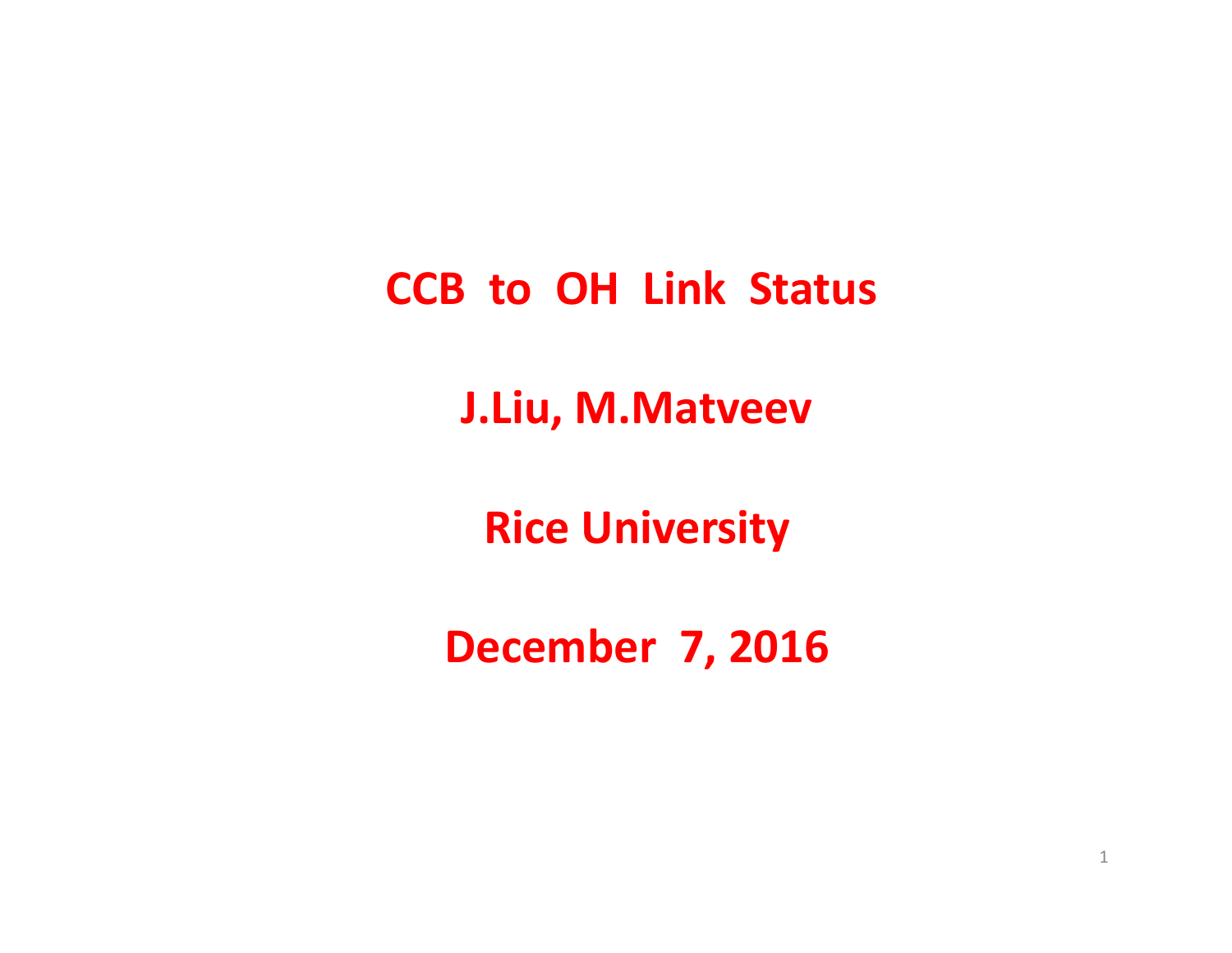**CCB to OH Link Status**

**J Liu . , M Matveev M.Matveev**

**Rice University**

**December 7, 2016**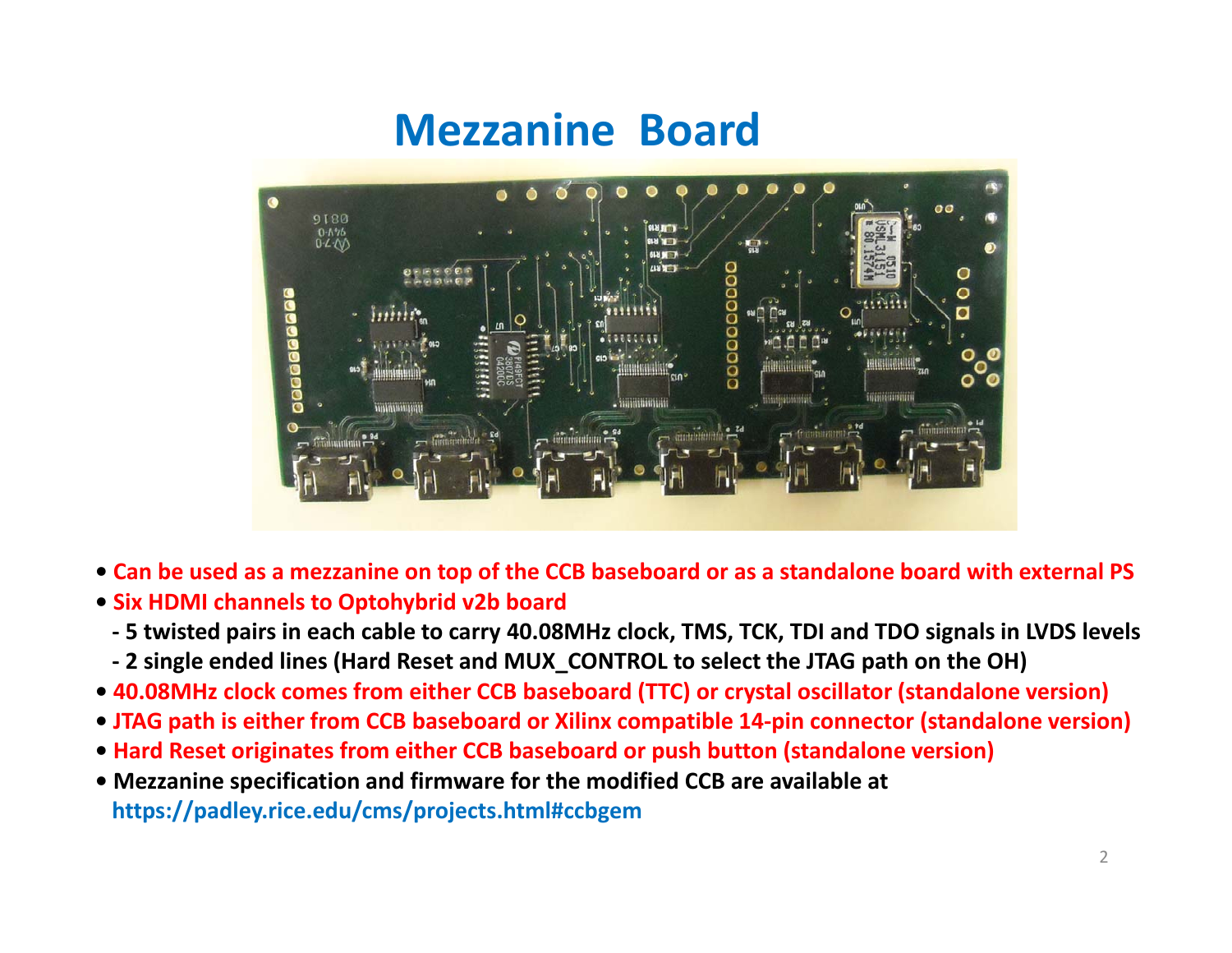## **Mezzanine Board**



- Can be used as a mezzanine on top of the CCB baseboard or as a standalone board with external PS
- **• Six HDMI channels to Optohybrid v2b board**
	- 5 twisted pairs in each cable to carry 40.08MHz clock, TMS, TCK, TDI and TDO signals in LVDS levels
	- 2 single ended lines (Hard Reset and MUX\_CONTROL to select the JTAG path on the OH)
- **• 40.08MHz clock comes from either CCB baseboard (TTC) or crystal oscillator (standalone version)**
- **• JTAG path is either from CCB baseboard or Xilinx compatible 14‐pin connector (standalone version)**
- **• Hard Reset originates from either CCB baseboard or push button (standalone version)**
- Mezzanine specification and firmware for the modified CCB are available at **https://padley.rice.edu/cms/projects.html#ccbgem**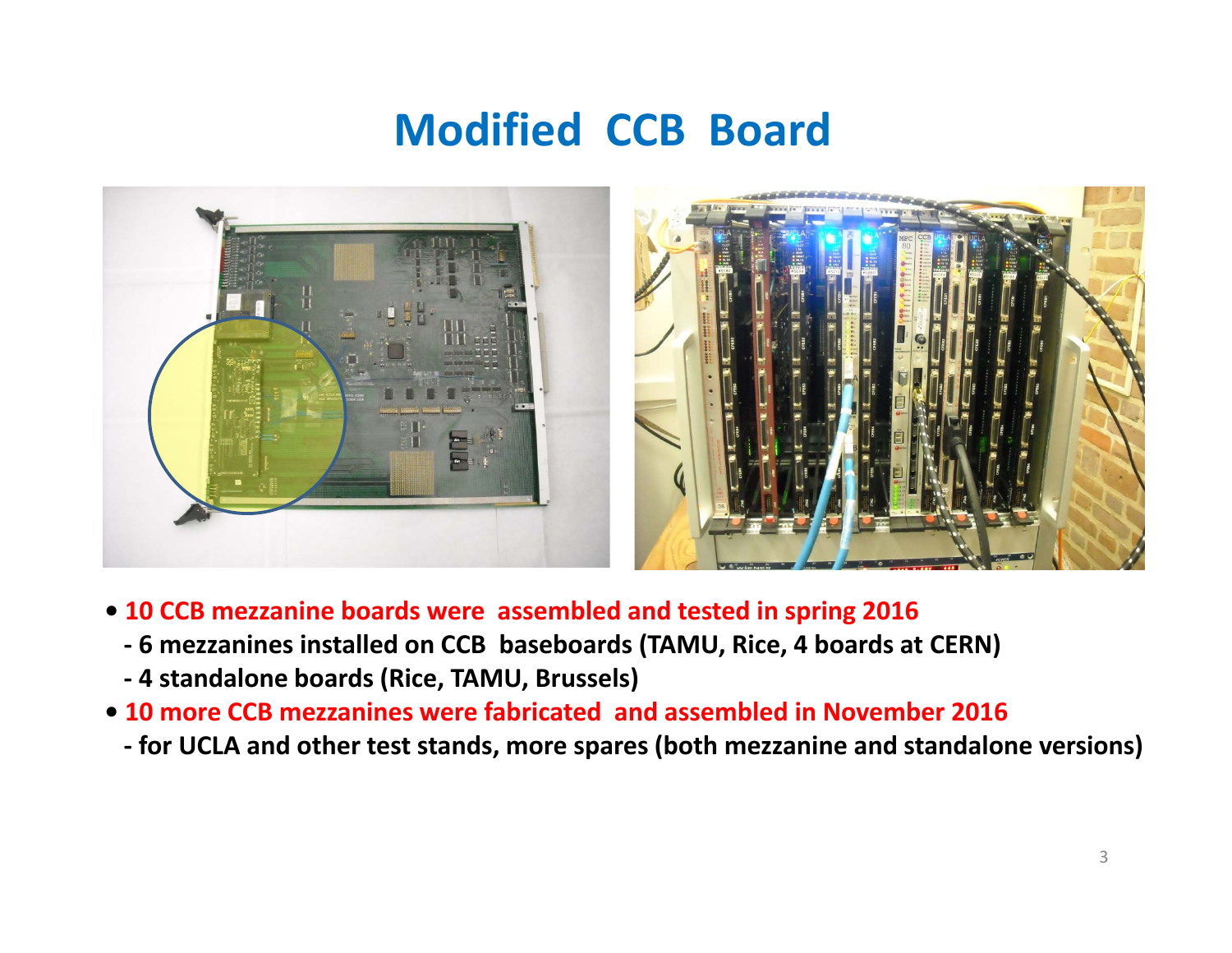## **Modified CCB Board**



- **• 10 CCB mezzanine boards were assembled and tested in spring 2016**
	- **‐ 6 mezzanines installed on CCB baseboards ( , TAMU Rice, 4 boards at CERN)**
	- **‐ 4 standalone boards (Rice, TAMU, Brussels)**
- **• 10 more CCB mezzanines were fabricated and assembled in November 2016**
	- **‐ for UCLA and other test stands, more spares (both mezzanine and standalone versions)**